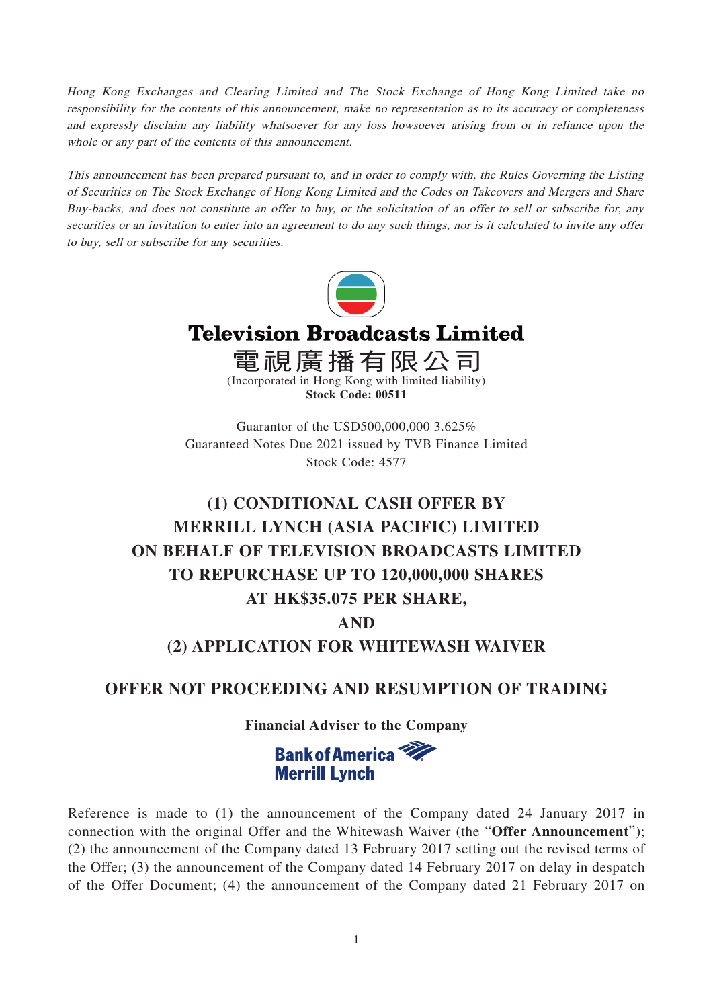Hong Kong Exchanges and Clearing Limited and The Stock Exchange of Hong Kong Limited take no responsibility for the contents of this announcement, make no representation as to its accuracy or completeness and expressly disclaim any liability whatsoever for any loss howsoever arising from or in reliance upon the whole or any part of the contents of this announcement.

This announcement has been prepared pursuant to, and in order to comply with, the Rules Governing the Listing of Securities on The Stock Exchange of Hong Kong Limited and the Codes on Takeovers and Mergers and Share Buy-backs, and does not constitute an offer to buy, or the solicitation of an offer to sell or subscribe for, any securities or an invitation to enter into an agreement to do any such things, nor is it calculated to invite any offer to buy, sell or subscribe for any securities.



# **Television Broadcasts Limited**

電視廣播有限公司 (Incorporated in Hong Kong with limited liability) **Stock Code: 00511**

Guarantor of the USD500,000,000 3.625% Guaranteed Notes Due 2021 issued by TVB Finance Limited Stock Code: 4577

# **(1) CONDITIONAL CASH OFFER BY MERRILL LYNCH (ASIA PACIFIC) LIMITED ON BEHALF OF TELEVISION BROADCASTS LIMITED TO REPURCHASE UP TO 120,000,000 SHARES AT HK\$35.075 PER SHARE,**

# **AND**

# **(2) APPLICATION FOR WHITEWASH WAIVER**

# **OFFER NOT PROCEEDING AND RESUMPTION OF TRADING**

**Financial Adviser to the Company**



Reference is made to (1) the announcement of the Company dated 24 January 2017 in connection with the original Offer and the Whitewash Waiver (the "**Offer Announcement**"); (2) the announcement of the Company dated 13 February 2017 setting out the revised terms of the Offer; (3) the announcement of the Company dated 14 February 2017 on delay in despatch of the Offer Document; (4) the announcement of the Company dated 21 February 2017 on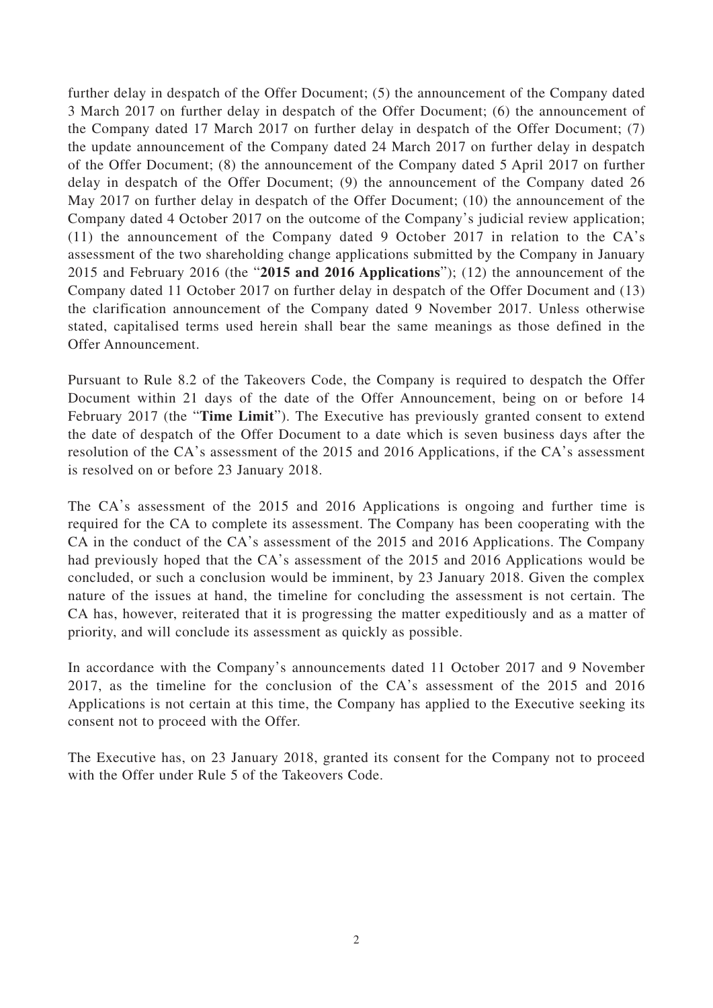further delay in despatch of the Offer Document; (5) the announcement of the Company dated 3 March 2017 on further delay in despatch of the Offer Document; (6) the announcement of the Company dated 17 March 2017 on further delay in despatch of the Offer Document; (7) the update announcement of the Company dated 24 March 2017 on further delay in despatch of the Offer Document; (8) the announcement of the Company dated 5 April 2017 on further delay in despatch of the Offer Document; (9) the announcement of the Company dated 26 May 2017 on further delay in despatch of the Offer Document; (10) the announcement of the Company dated 4 October 2017 on the outcome of the Company's judicial review application; (11) the announcement of the Company dated 9 October 2017 in relation to the CA's assessment of the two shareholding change applications submitted by the Company in January 2015 and February 2016 (the "**2015 and 2016 Applications**"); (12) the announcement of the Company dated 11 October 2017 on further delay in despatch of the Offer Document and (13) the clarification announcement of the Company dated 9 November 2017. Unless otherwise stated, capitalised terms used herein shall bear the same meanings as those defined in the Offer Announcement.

Pursuant to Rule 8.2 of the Takeovers Code, the Company is required to despatch the Offer Document within 21 days of the date of the Offer Announcement, being on or before 14 February 2017 (the "**Time Limit**"). The Executive has previously granted consent to extend the date of despatch of the Offer Document to a date which is seven business days after the resolution of the CA's assessment of the 2015 and 2016 Applications, if the CA's assessment is resolved on or before 23 January 2018.

The CA's assessment of the 2015 and 2016 Applications is ongoing and further time is required for the CA to complete its assessment. The Company has been cooperating with the CA in the conduct of the CA's assessment of the 2015 and 2016 Applications. The Company had previously hoped that the CA's assessment of the 2015 and 2016 Applications would be concluded, or such a conclusion would be imminent, by 23 January 2018. Given the complex nature of the issues at hand, the timeline for concluding the assessment is not certain. The CA has, however, reiterated that it is progressing the matter expeditiously and as a matter of priority, and will conclude its assessment as quickly as possible.

In accordance with the Company's announcements dated 11 October 2017 and 9 November 2017, as the timeline for the conclusion of the CA's assessment of the 2015 and 2016 Applications is not certain at this time, the Company has applied to the Executive seeking its consent not to proceed with the Offer.

The Executive has, on 23 January 2018, granted its consent for the Company not to proceed with the Offer under Rule 5 of the Takeovers Code.